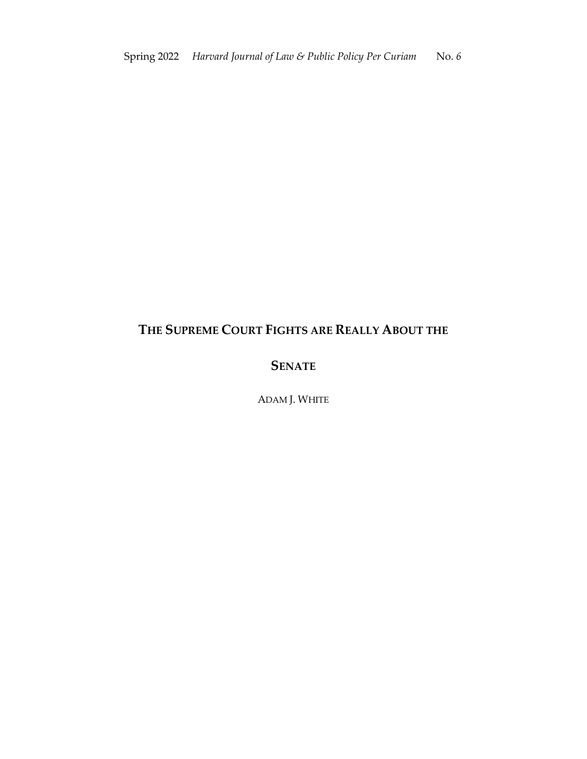## **THE SUPREME COURT FIGHTS ARE REALLY ABOUT THE**

## **SENATE**

ADAM J. WHITE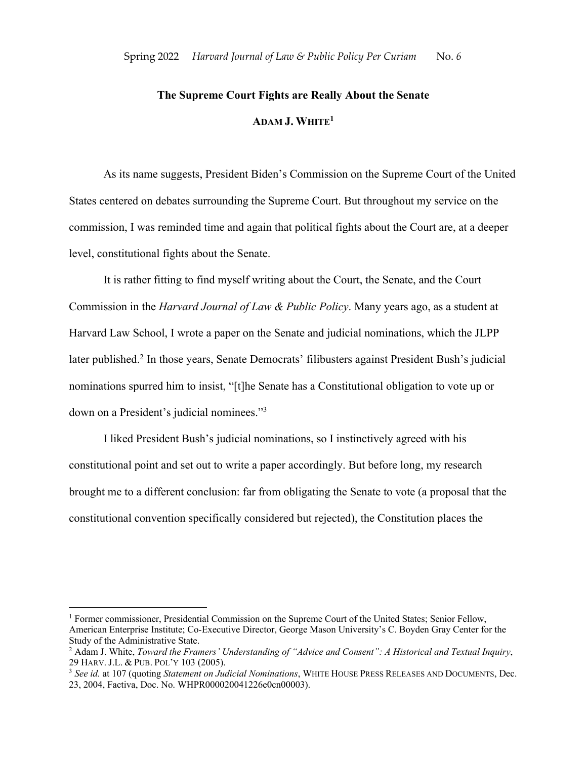## **The Supreme Court Fights are Really About the Senate ADAM J. WHITE1**

As its name suggests, President Biden's Commission on the Supreme Court of the United States centered on debates surrounding the Supreme Court. But throughout my service on the commission, I was reminded time and again that political fights about the Court are, at a deeper level, constitutional fights about the Senate.

It is rather fitting to find myself writing about the Court, the Senate, and the Court Commission in the *Harvard Journal of Law & Public Policy*. Many years ago, as a student at Harvard Law School, I wrote a paper on the Senate and judicial nominations, which the JLPP later published.<sup>2</sup> In those years, Senate Democrats' filibusters against President Bush's judicial nominations spurred him to insist, "[t]he Senate has a Constitutional obligation to vote up or down on a President's judicial nominees."3

I liked President Bush's judicial nominations, so I instinctively agreed with his constitutional point and set out to write a paper accordingly. But before long, my research brought me to a different conclusion: far from obligating the Senate to vote (a proposal that the constitutional convention specifically considered but rejected), the Constitution places the

 $<sup>1</sup>$  Former commissioner, Presidential Commission on the Supreme Court of the United States; Senior Fellow,</sup> American Enterprise Institute; Co-Executive Director, George Mason University's C. Boyden Gray Center for the Study of the Administrative State.

<sup>2</sup> Adam J. White, *Toward the Framers' Understanding of "Advice and Consent": A Historical and Textual Inquiry*,

<sup>&</sup>lt;sup>3</sup> See id. at 107 (quoting *Statement on Judicial Nominations*, WHITE HOUSE PRESS RELEASES AND DOCUMENTS, Dec. 23, 2004, Factiva, Doc. No. WHPR000020041226e0cn00003).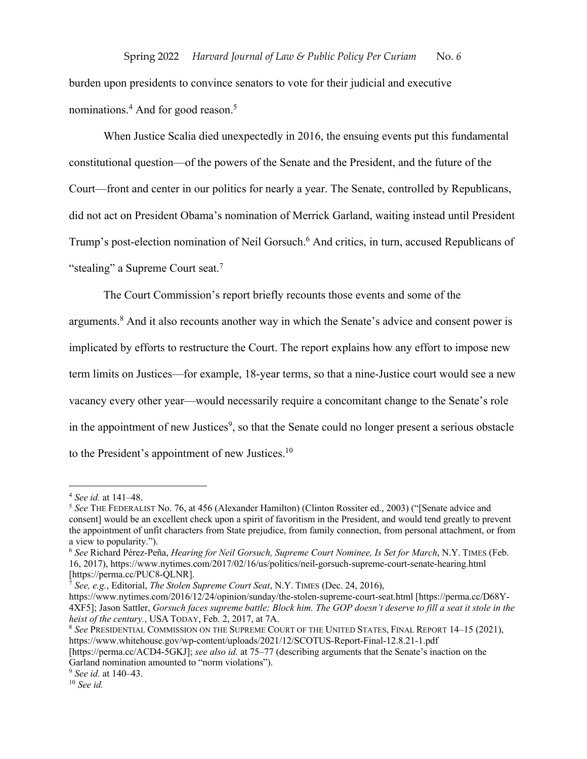burden upon presidents to convince senators to vote for their judicial and executive nominations.<sup>4</sup> And for good reason.<sup>5</sup>

When Justice Scalia died unexpectedly in 2016, the ensuing events put this fundamental constitutional question—of the powers of the Senate and the President, and the future of the Court—front and center in our politics for nearly a year. The Senate, controlled by Republicans, did not act on President Obama's nomination of Merrick Garland, waiting instead until President Trump's post-election nomination of Neil Gorsuch. <sup>6</sup> And critics, in turn, accused Republicans of "stealing" a Supreme Court seat.<sup>7</sup>

The Court Commission's report briefly recounts those events and some of the arguments.<sup>8</sup> And it also recounts another way in which the Senate's advice and consent power is implicated by efforts to restructure the Court. The report explains how any effort to impose new term limits on Justices—for example, 18-year terms, so that a nine-Justice court would see a new vacancy every other year—would necessarily require a concomitant change to the Senate's role in the appointment of new Justices<sup>9</sup>, so that the Senate could no longer present a serious obstacle to the President's appointment of new Justices.<sup>10</sup>

https://www.nytimes.com/2016/12/24/opinion/sunday/the-stolen-supreme-court-seat.html [https://perma.cc/D68Y-4XF5]; Jason Sattler, *Gorsuch faces supreme battle; Block him. The GOP doesn't deserve to fill a seat it stole in the heist of the century.*, USA TODAY, Feb. 2, 2017, at 7A.

<sup>8</sup> *See* PRESIDENTIAL COMMISSION ON THE SUPREME COURT OF THE UNITED STATES, FINAL REPORT 14–15 (2021), https://www.whitehouse.gov/wp-content/uploads/2021/12/SCOTUS-Report-Final-12.8.21-1.pdf

<sup>4</sup> *See id.* at 141–48.

<sup>&</sup>lt;sup>5</sup> See THE FEDERALIST No. 76, at 456 (Alexander Hamilton) (Clinton Rossiter ed., 2003) ("[Senate advice and consent] would be an excellent check upon a spirit of favoritism in the President, and would tend greatly to prevent the appointment of unfit characters from State prejudice, from family connection, from personal attachment, or from a view to popularity.").

<sup>6</sup> *See* Richard Pérez-Peña, *Hearing for Neil Gorsuch, Supreme Court Nominee, Is Set for March*, N.Y. TIMES (Feb. 16, 2017), https://www.nytimes.com/2017/02/16/us/politics/neil-gorsuch-supreme-court-senate-hearing.html [https://perma.cc/PUC8-QLNR].

<sup>7</sup> *See, e.g.*, Editorial, *The Stolen Supreme Court Seat*, N.Y. TIMES (Dec. 24, 2016),

<sup>[</sup>https://perma.cc/ACD4-5GKJ]; *see also id.* at 75–77 (describing arguments that the Senate's inaction on the Garland nomination amounted to "norm violations").

<sup>9</sup> *See id.* at 140–43.

<sup>10</sup> *See id.*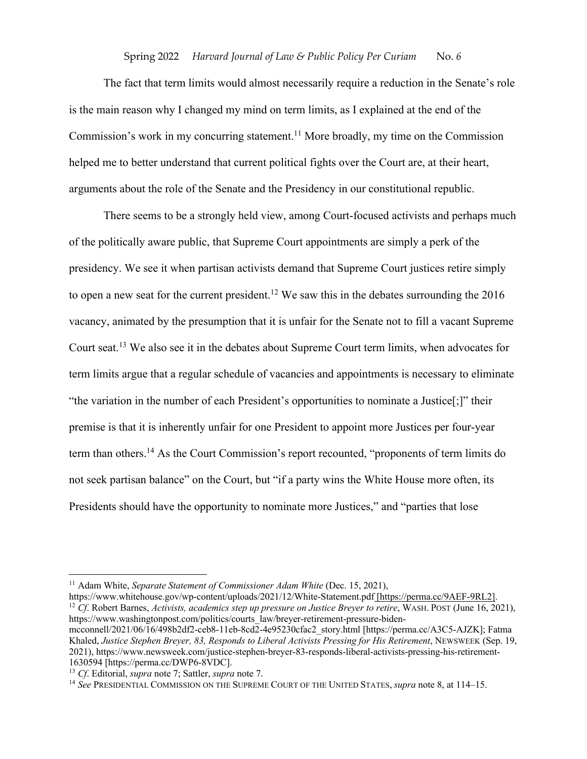The fact that term limits would almost necessarily require a reduction in the Senate's role is the main reason why I changed my mind on term limits, as I explained at the end of the Commission's work in my concurring statement.<sup>11</sup> More broadly, my time on the Commission helped me to better understand that current political fights over the Court are, at their heart, arguments about the role of the Senate and the Presidency in our constitutional republic.

There seems to be a strongly held view, among Court-focused activists and perhaps much of the politically aware public, that Supreme Court appointments are simply a perk of the presidency. We see it when partisan activists demand that Supreme Court justices retire simply to open a new seat for the current president.<sup>12</sup> We saw this in the debates surrounding the  $2016$ vacancy, animated by the presumption that it is unfair for the Senate not to fill a vacant Supreme Court seat.13 We also see it in the debates about Supreme Court term limits, when advocates for term limits argue that a regular schedule of vacancies and appointments is necessary to eliminate "the variation in the number of each President's opportunities to nominate a Justice[;]" their premise is that it is inherently unfair for one President to appoint more Justices per four-year term than others.14 As the Court Commission's report recounted, "proponents of term limits do not seek partisan balance" on the Court, but "if a party wins the White House more often, its Presidents should have the opportunity to nominate more Justices," and "parties that lose

https://www.whitehouse.gov/wp-content/uploads/2021/12/White-Statement.pdf<del>[https://perma.cc/9AEF-9RL2]</del>.<br><sup>12</sup> Cf. Robert Barnes, Activists, academics step up pressure on Justice Brever to retire, WASH. POST (June 16, 2021) https://www.washingtonpost.com/politics/courts\_law/breyer-retirement-pressure-bidenmcconnell/2021/06/16/498b2df2-ceb8-11eb-8cd2-4e95230cfac2\_story.html [https://perma.cc/A3C5-AJZK]; Fatma Khaled, *Justice Stephen Breyer, 83, Responds to Liberal Activists Pressing for His Retirement*, NEWSWEEK (Sep. 19, 2021), https://www.newsweek.com/justice-stephen-breyer-83-responds-liberal-activists-pressing-his-retirement-1630594 [https://perma.cc/DWP6-8VDC].

<sup>&</sup>lt;sup>11</sup> Adam White, *Separate Statement of Commissioner Adam White* (Dec. 15, 2021),

<sup>13</sup> *Cf*. Editorial, *supra* note 7; Sattler, *supra* note 7.

<sup>14</sup> *See* PRESIDENTIAL COMMISSION ON THE SUPREME COURT OF THE UNITED STATES, *supra* note 8, at 114–15.